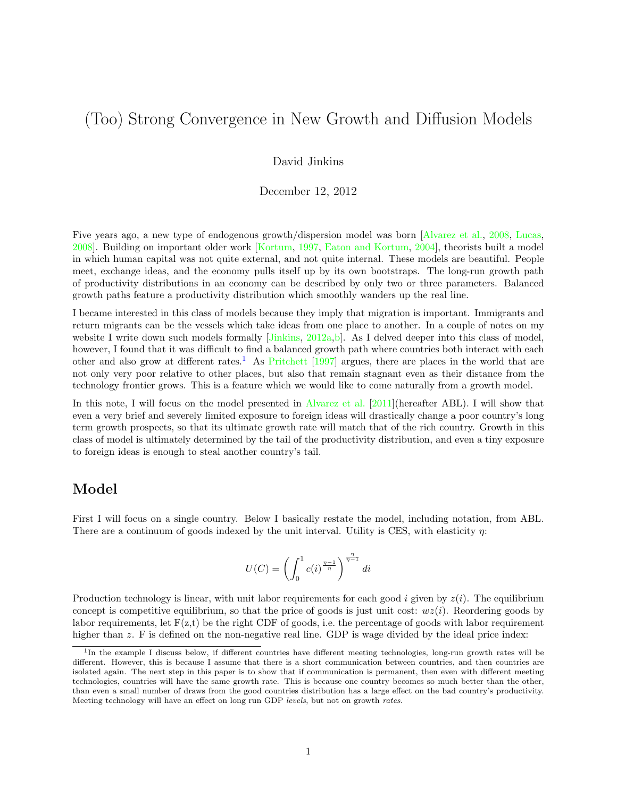# (Too) Strong Convergence in New Growth and Diffusion Models

David Jinkins

December 12, 2012

Five years ago, a new type of endogenous growth/dispersion model was born [\[Alvarez et al.,](#page-5-0) [2008,](#page-5-0) [Lucas,](#page-6-0) [2008\]](#page-6-0). Building on important older work [\[Kortum,](#page-6-1) [1997,](#page-6-1) [Eaton and Kortum,](#page-5-1) [2004\]](#page-5-1), theorists built a model in which human capital was not quite external, and not quite internal. These models are beautiful. People meet, exchange ideas, and the economy pulls itself up by its own bootstraps. The long-run growth path of productivity distributions in an economy can be described by only two or three parameters. Balanced growth paths feature a productivity distribution which smoothly wanders up the real line.

I became interested in this class of models because they imply that migration is important. Immigrants and return migrants can be the vessels which take ideas from one place to another. In a couple of notes on my website I write down such models formally  $[Jinkins, 2012a,b]$  $[Jinkins, 2012a,b]$  $[Jinkins, 2012a,b]$ . As I delved deeper into this class of model, however, I found that it was difficult to find a balanced growth path where countries both interact with each other and also grow at different rates.<sup>[1](#page-0-0)</sup> As [Pritchett](#page-6-3) [\[1997\]](#page-6-3) argues, there are places in the world that are not only very poor relative to other places, but also that remain stagnant even as their distance from the technology frontier grows. This is a feature which we would like to come naturally from a growth model.

In this note, I will focus on the model presented in [Alvarez et al.](#page-5-3) [\[2011\]](#page-5-3)(hereafter ABL). I will show that even a very brief and severely limited exposure to foreign ideas will drastically change a poor country's long term growth prospects, so that its ultimate growth rate will match that of the rich country. Growth in this class of model is ultimately determined by the tail of the productivity distribution, and even a tiny exposure to foreign ideas is enough to steal another country's tail.

#### Model

First I will focus on a single country. Below I basically restate the model, including notation, from ABL. There are a continuum of goods indexed by the unit interval. Utility is CES, with elasticity  $\eta$ :

$$
U(C) = \left(\int_0^1 c(i)^{\frac{\eta-1}{\eta}}\right)^{\frac{\eta}{\eta-1}} di
$$

Production technology is linear, with unit labor requirements for each good i given by  $z(i)$ . The equilibrium concept is competitive equilibrium, so that the price of goods is just unit cost:  $wz(i)$ . Reordering goods by labor requirements, let  $F(z,t)$  be the right CDF of goods, i.e. the percentage of goods with labor requirement higher than z. F is defined on the non-negative real line. GDP is wage divided by the ideal price index:

<span id="page-0-0"></span><sup>&</sup>lt;sup>1</sup>In the example I discuss below, if different countries have different meeting technologies, long-run growth rates will be different. However, this is because I assume that there is a short communication between countries, and then countries are isolated again. The next step in this paper is to show that if communication is permanent, then even with different meeting technologies, countries will have the same growth rate. This is because one country becomes so much better than the other, than even a small number of draws from the good countries distribution has a large effect on the bad country's productivity. Meeting technology will have an effect on long run GDP levels, but not on growth rates.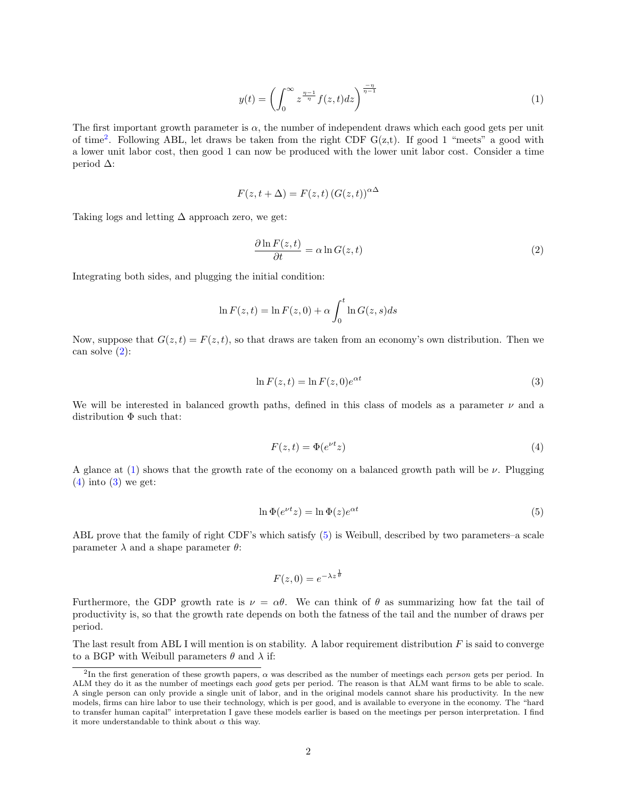<span id="page-1-2"></span>
$$
y(t) = \left(\int_0^\infty z^{\frac{\eta - 1}{\eta}} f(z, t) dz\right)^{\frac{-\eta}{\eta - 1}}\tag{1}
$$

The first important growth parameter is  $\alpha$ , the number of independent draws which each good gets per unit of time<sup>[2](#page-1-0)</sup>. Following ABL, let draws be taken from the right CDF  $G(z,t)$ . If good 1 "meets" a good with a lower unit labor cost, then good 1 can now be produced with the lower unit labor cost. Consider a time period ∆:

$$
F(z, t + \Delta) = F(z, t) (G(z, t))^{\alpha \Delta}
$$

Taking logs and letting  $\Delta$  approach zero, we get:

<span id="page-1-1"></span>
$$
\frac{\partial \ln F(z,t)}{\partial t} = \alpha \ln G(z,t)
$$
\n(2)

Integrating both sides, and plugging the initial condition:

$$
\ln F(z,t) = \ln F(z,0) + \alpha \int_0^t \ln G(z,s)ds
$$

Now, suppose that  $G(z, t) = F(z, t)$ , so that draws are taken from an economy's own distribution. Then we can solve  $(2)$ :

<span id="page-1-4"></span>
$$
\ln F(z, t) = \ln F(z, 0)e^{\alpha t}
$$
\n(3)

We will be interested in balanced growth paths, defined in this class of models as a parameter  $\nu$  and a distribution  $\Phi$  such that:

<span id="page-1-3"></span>
$$
F(z,t) = \Phi(e^{\nu t}z)
$$
 (4)

A glance at [\(1\)](#page-1-2) shows that the growth rate of the economy on a balanced growth path will be  $\nu$ . Plugging  $(4)$  into  $(3)$  we get:

<span id="page-1-5"></span>
$$
\ln \Phi(e^{\nu t}z) = \ln \Phi(z)e^{\alpha t} \tag{5}
$$

ABL prove that the family of right CDF's which satisfy [\(5\)](#page-1-5) is Weibull, described by two parameters–a scale parameter  $\lambda$  and a shape parameter  $\theta$ :

$$
F(z,0) = e^{-\lambda z^{\frac{1}{\theta}}}
$$

 $\overline{1}$ 

Furthermore, the GDP growth rate is  $\nu = \alpha \theta$ . We can think of  $\theta$  as summarizing how fat the tail of productivity is, so that the growth rate depends on both the fatness of the tail and the number of draws per period.

The last result from ABL I will mention is on stability. A labor requirement distribution  $F$  is said to converge to a BGP with Weibull parameters  $\theta$  and  $\lambda$  if:

<span id="page-1-0"></span><sup>&</sup>lt;sup>2</sup>In the first generation of these growth papers,  $\alpha$  was described as the number of meetings each *person* gets per period. In ALM they do it as the number of meetings each good gets per period. The reason is that ALM want firms to be able to scale. A single person can only provide a single unit of labor, and in the original models cannot share his productivity. In the new models, firms can hire labor to use their technology, which is per good, and is available to everyone in the economy. The "hard to transfer human capital" interpretation I gave these models earlier is based on the meetings per person interpretation. I find it more understandable to think about  $\alpha$  this way.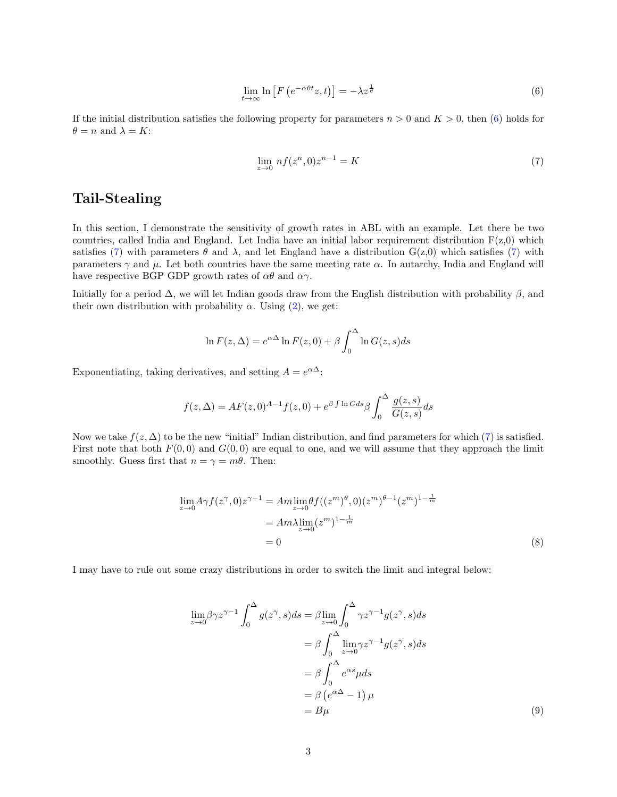<span id="page-2-0"></span>
$$
\lim_{t \to \infty} \ln \left[ F \left( e^{-\alpha \theta t} z, t \right) \right] = -\lambda z^{\frac{1}{\theta}} \tag{6}
$$

If the initial distribution satisfies the following property for parameters  $n > 0$  and  $K > 0$ , then [\(6\)](#page-2-0) holds for  $\theta = n$  and  $\lambda = K$ :

<span id="page-2-1"></span>
$$
\lim_{z \to 0} n f(z^n, 0) z^{n-1} = K
$$
\n(7)

# Tail-Stealing

In this section, I demonstrate the sensitivity of growth rates in ABL with an example. Let there be two countries, called India and England. Let India have an initial labor requirement distribution  $F(z,0)$  which satisfies [\(7\)](#page-2-1) with parameters  $\theta$  and  $\lambda$ , and let England have a distribution  $G(z,0)$  which satisfies (7) with parameters  $\gamma$  and  $\mu$ . Let both countries have the same meeting rate  $\alpha$ . In autarchy, India and England will have respective BGP GDP growth rates of  $\alpha\theta$  and  $\alpha\gamma$ .

Initially for a period  $\Delta$ , we will let Indian goods draw from the English distribution with probability  $\beta$ , and their own distribution with probability  $\alpha$ . Using [\(2\)](#page-1-1), we get:

$$
\ln F(z, \Delta) = e^{\alpha \Delta} \ln F(z, 0) + \beta \int_0^{\Delta} \ln G(z, s) ds
$$

Exponentiating, taking derivatives, and setting  $A = e^{\alpha \Delta}$ :

$$
f(z, \Delta) = AF(z, 0)^{A-1} f(z, 0) + e^{\beta \int \ln G ds} \beta \int_0^{\Delta} \frac{g(z, s)}{G(z, s)} ds
$$

Now we take  $f(z, \Delta)$  to be the new "initial" Indian distribution, and find parameters for which [\(7\)](#page-2-1) is satisfied. First note that both  $F(0,0)$  and  $G(0,0)$  are equal to one, and we will assume that they approach the limit smoothly. Guess first that  $n = \gamma = m\theta$ . Then:

$$
\lim_{z \to 0} A \gamma f(z^{\gamma}, 0) z^{\gamma - 1} = A m \lim_{z \to 0} \theta f((z^m)^{\theta}, 0) (z^m)^{\theta - 1} (z^m)^{1 - \frac{1}{m}}
$$
  
=  $A m \lambda \lim_{z \to 0} (z^m)^{1 - \frac{1}{m}}$   
= 0 (8)

I may have to rule out some crazy distributions in order to switch the limit and integral below:

<span id="page-2-3"></span><span id="page-2-2"></span>
$$
\lim_{z \to 0} \beta \gamma z^{\gamma - 1} \int_0^{\Delta} g(z^{\gamma}, s) ds = \beta \lim_{z \to 0} \int_0^{\Delta} \gamma z^{\gamma - 1} g(z^{\gamma}, s) ds
$$

$$
= \beta \int_0^{\Delta} \lim_{z \to 0} \gamma z^{\gamma - 1} g(z^{\gamma}, s) ds
$$

$$
= \beta \int_0^{\Delta} e^{\alpha s} \mu ds
$$

$$
= \beta (e^{\alpha \Delta} - 1) \mu
$$

$$
= B\mu
$$
(9)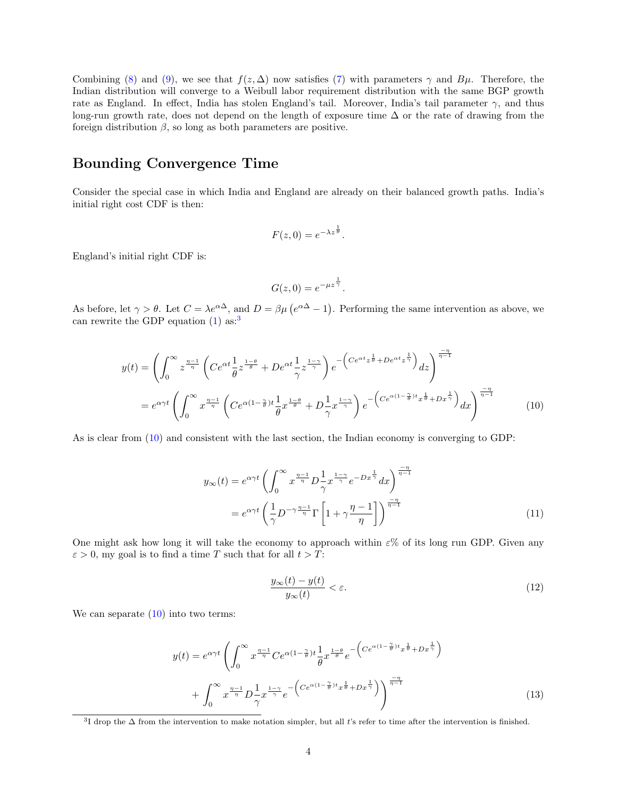Combining [\(8\)](#page-2-2) and [\(9\)](#page-2-3), we see that  $f(z, \Delta)$  now satisfies [\(7\)](#page-2-1) with parameters  $\gamma$  and  $B\mu$ . Therefore, the Indian distribution will converge to a Weibull labor requirement distribution with the same BGP growth rate as England. In effect, India has stolen England's tail. Moreover, India's tail parameter  $\gamma$ , and thus long-run growth rate, does not depend on the length of exposure time ∆ or the rate of drawing from the foreign distribution  $\beta$ , so long as both parameters are positive.

## Bounding Convergence Time

Consider the special case in which India and England are already on their balanced growth paths. India's initial right cost CDF is then:

$$
F(z,0) = e^{-\lambda z^{\frac{1}{\theta}}}.
$$

England's initial right CDF is:

<span id="page-3-1"></span>
$$
G(z,0) = e^{-\mu z^{\frac{1}{\gamma}}}.
$$

As before, let  $\gamma > \theta$ . Let  $C = \lambda e^{\alpha \Delta}$ , and  $D = \beta \mu (e^{\alpha \Delta} - 1)$ . Performing the same intervention as above, we can rewrite the GDP equation  $(1)$  as:<sup>[3](#page-3-0)</sup>

$$
y(t) = \left(\int_0^\infty z^{\frac{\eta - 1}{\eta}} \left( Ce^{\alpha t} \frac{1}{\theta} z^{\frac{1 - \theta}{\theta}} + De^{\alpha t} \frac{1}{\gamma} z^{\frac{1 - \gamma}{\gamma}} \right) e^{-\left( Ce^{\alpha t} z^{\frac{1}{\theta}} + De^{\alpha t} z^{\frac{1}{\gamma}} \right)} dz \right)^{\frac{-\eta}{\eta - 1}}
$$
  
=  $e^{\alpha \gamma t} \left(\int_0^\infty x^{\frac{\eta - 1}{\eta}} \left( Ce^{\alpha (1 - \frac{\gamma}{\theta}) t} \frac{1}{\theta} x^{\frac{1 - \theta}{\theta}} + D \frac{1}{\gamma} x^{\frac{1 - \gamma}{\gamma}} \right) e^{-\left( Ce^{\alpha (1 - \frac{\gamma}{\theta}) t} x^{\frac{1}{\theta}} + Dx^{\frac{1}{\gamma}} \right)} dx \right)^{\frac{-\eta}{\eta - 1}}$  (10)

As is clear from [\(10\)](#page-3-1) and consistent with the last section, the Indian economy is converging to GDP:

$$
y_{\infty}(t) = e^{\alpha \gamma t} \left( \int_0^{\infty} x^{\frac{\eta - 1}{\eta}} D_{\gamma}^{\frac{1 - \gamma}{\gamma}} e^{-D_x \frac{1}{\gamma}} dx \right)^{\frac{-\eta}{\eta - 1}}
$$

$$
= e^{\alpha \gamma t} \left( \frac{1}{\gamma} D^{-\gamma \frac{\eta - 1}{\eta}} \Gamma \left[ 1 + \gamma \frac{\eta - 1}{\eta} \right] \right)^{\frac{-\eta}{\eta - 1}}
$$
(11)

One might ask how long it will take the economy to approach within  $\varepsilon$ % of its long run GDP. Given any  $\varepsilon > 0$ , my goal is to find a time T such that for all  $t > T$ :

<span id="page-3-4"></span><span id="page-3-3"></span><span id="page-3-2"></span>
$$
\frac{y_{\infty}(t) - y(t)}{y_{\infty}(t)} < \varepsilon. \tag{12}
$$

We can separate  $(10)$  into two terms:

$$
y(t) = e^{\alpha \gamma t} \left( \int_0^\infty x^{\frac{\eta - 1}{\eta}} C e^{\alpha (1 - \frac{\gamma}{\theta}) t} \frac{1}{\theta} x^{\frac{1 - \theta}{\theta}} e^{-\left( C e^{\alpha (1 - \frac{\gamma}{\theta}) t} x^{\frac{1}{\theta}} + D x^{\frac{1}{\gamma}} \right)} + \int_0^\infty x^{\frac{\eta - 1}{\eta}} D \frac{1}{\gamma} x^{\frac{1 - \gamma}{\gamma}} e^{-\left( C e^{\alpha (1 - \frac{\gamma}{\theta}) t} x^{\frac{1}{\theta}} + D x^{\frac{1}{\gamma}} \right)} \right)^{\frac{-\eta}{\eta - 1}}
$$
(13)

<span id="page-3-0"></span><sup>&</sup>lt;sup>3</sup>I drop the  $\Delta$  from the intervention to make notation simpler, but all t's refer to time after the intervention is finished.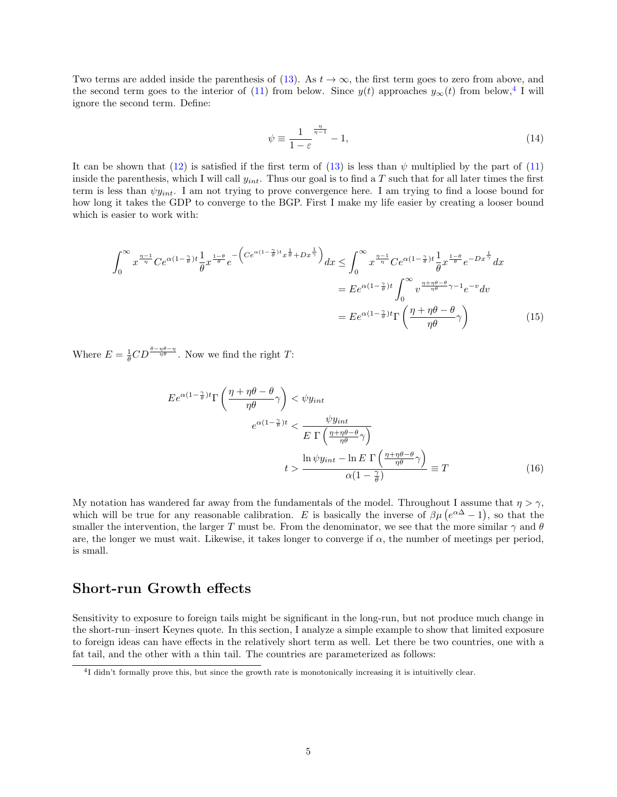Two terms are added inside the parenthesis of [\(13\)](#page-3-2). As  $t \to \infty$ , the first term goes to zero from above, and the second term goes to the interior of [\(11\)](#page-3-3) from below. Since  $y(t)$  approaches  $y_{\infty}(t)$  from below,<sup>[4](#page-4-0)</sup> I will ignore the second term. Define:

$$
\psi \equiv \frac{1}{1-\varepsilon}^{\frac{\eta}{\eta-1}} - 1,\tag{14}
$$

It can be shown that [\(12\)](#page-3-4) is satisfied if the first term of [\(13\)](#page-3-2) is less than  $\psi$  multiplied by the part of [\(11\)](#page-3-3) inside the parenthesis, which I will call  $y_{int}$ . Thus our goal is to find a T such that for all later times the first term is less than  $\psi y_{int}$ . I am not trying to prove convergence here. I am trying to find a loose bound for how long it takes the GDP to converge to the BGP. First I make my life easier by creating a looser bound which is easier to work with:

$$
\int_0^\infty x^{\frac{\eta-1}{\eta}} Ce^{\alpha(1-\frac{\gamma}{\theta})t} \frac{1}{\theta} x^{\frac{1-\theta}{\theta}} e^{-\left( Ce^{\alpha(1-\frac{\gamma}{\theta})t} x^{\frac{1}{\theta}} + Dx^{\frac{1}{\gamma}} \right)} dx \leq \int_0^\infty x^{\frac{\eta-1}{\eta}} Ce^{\alpha(1-\frac{\gamma}{\theta})t} \frac{1}{\theta} x^{\frac{1-\theta}{\theta}} e^{-Dx^{\frac{1}{\gamma}}} dx
$$

$$
= E e^{\alpha(1-\frac{\gamma}{\theta})t} \int_0^\infty v^{\frac{\eta+\eta\theta-\theta}{\eta\theta}\gamma-1} e^{-v} dv
$$

$$
= E e^{\alpha(1-\frac{\gamma}{\theta})t} \Gamma\left(\frac{\eta+\eta\theta-\theta}{\eta\theta}\gamma\right) \tag{15}
$$

Where  $E = \frac{1}{\theta} CD^{\frac{\theta - \eta \theta - \eta}{\eta \theta}}$ . Now we find the right T:

$$
E e^{\alpha (1 - \frac{\gamma}{\theta})t} \Gamma \left( \frac{\eta + \eta \theta - \theta}{\eta \theta} \gamma \right) < \psi y_{int}
$$
  

$$
e^{\alpha (1 - \frac{\gamma}{\theta})t} < \frac{\psi y_{int}}{E \Gamma \left( \frac{\eta + \eta \theta - \theta}{\eta \theta} \gamma \right)}
$$
  

$$
t > \frac{\ln \psi y_{int} - \ln E \Gamma \left( \frac{\eta + \eta \theta - \theta}{\eta \theta} \gamma \right)}{\alpha (1 - \frac{\gamma}{\theta})} \equiv T
$$
 (16)

My notation has wandered far away from the fundamentals of the model. Throughout I assume that  $\eta > \gamma$ , which will be true for any reasonable calibration. E is basically the inverse of  $\beta\mu (e^{\alpha\Delta}-1)$ , so that the smaller the intervention, the larger T must be. From the denominator, we see that the more similar  $\gamma$  and  $\theta$ are, the longer we must wait. Likewise, it takes longer to converge if  $\alpha$ , the number of meetings per period, is small.

#### Short-run Growth effects

Sensitivity to exposure to foreign tails might be significant in the long-run, but not produce much change in the short-run–insert Keynes quote. In this section, I analyze a simple example to show that limited exposure to foreign ideas can have effects in the relatively short term as well. Let there be two countries, one with a fat tail, and the other with a thin tail. The countries are parameterized as follows:

<span id="page-4-0"></span><sup>&</sup>lt;sup>4</sup>I didn't formally prove this, but since the growth rate is monotonically increasing it is intuitivelly clear.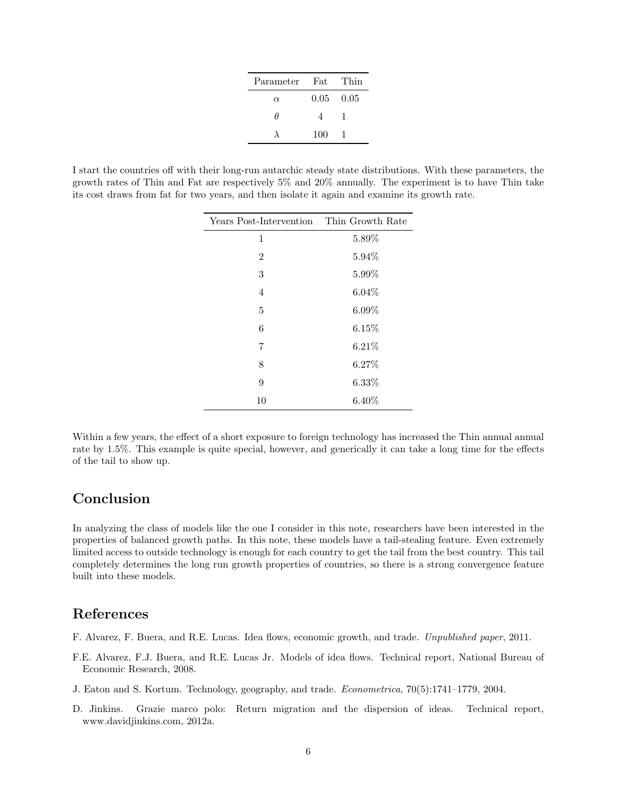| Parameter Fat |                   | - Thin |
|---------------|-------------------|--------|
| $\alpha$      | $0.05 \quad 0.05$ |        |
| Ĥ             | $\overline{4}$    |        |
|               | 100               | - 1    |

I start the countries off with their long-run autarchic steady state distributions. With these parameters, the growth rates of Thin and Fat are respectively 5% and 20% annually. The experiment is to have Thin take its cost draws from fat for two years, and then isolate it again and examine its growth rate.

| Years Post-Intervention Thin Growth Rate |          |
|------------------------------------------|----------|
| 1                                        | 5.89%    |
| 2                                        | 5.94%    |
| 3                                        | 5.99%    |
| $\overline{4}$                           | $6.04\%$ |
| 5                                        | $6.09\%$ |
| 6                                        | $6.15\%$ |
| 7                                        | 6.21%    |
| 8                                        | 6.27%    |
| 9                                        | 6.33%    |
| 10                                       | $6.40\%$ |

Within a few years, the effect of a short exposure to foreign technology has increased the Thin annual annual rate by 1.5%. This example is quite special, however, and generically it can take a long time for the effects of the tail to show up.

## Conclusion

In analyzing the class of models like the one I consider in this note, researchers have been interested in the properties of balanced growth paths. In this note, these models have a tail-stealing feature. Even extremely limited access to outside technology is enough for each country to get the tail from the best country. This tail completely determines the long run growth properties of countries, so there is a strong convergence feature built into these models.

## References

- <span id="page-5-3"></span>F. Alvarez, F. Buera, and R.E. Lucas. Idea flows, economic growth, and trade. Unpublished paper, 2011.
- <span id="page-5-0"></span>F.E. Alvarez, F.J. Buera, and R.E. Lucas Jr. Models of idea flows. Technical report, National Bureau of Economic Research, 2008.
- <span id="page-5-1"></span>J. Eaton and S. Kortum. Technology, geography, and trade. Econometrica, 70(5):1741–1779, 2004.
- <span id="page-5-2"></span>D. Jinkins. Grazie marco polo: Return migration and the dispersion of ideas. Technical report, www.davidjinkins.com, 2012a.